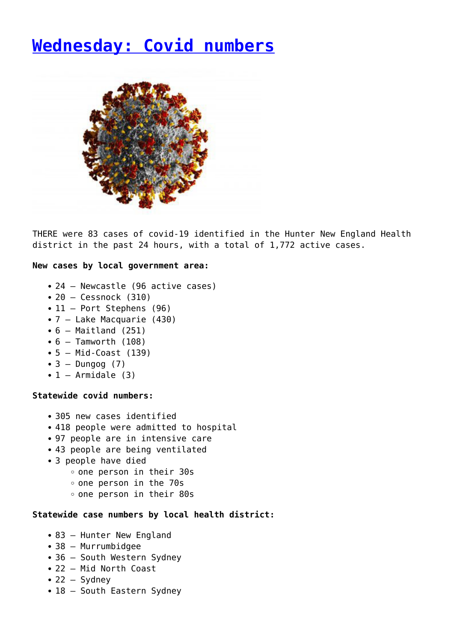## **[Wednesday: Covid numbers](https://www.singleton.net.au/wednesday-covid-numbers/)**



THERE were 83 cases of covid-19 identified in the Hunter New England Health district in the past 24 hours, with a total of 1,772 active cases.

## **New cases by local government area:**

- 24 Newcastle (96 active cases)
- $\bullet$  20 Cessnock (310)
- 11 Port Stephens (96)
- 7 Lake Macquarie (430)
- $\bullet$  6 Maitland (251)
- $\bullet$  6 Tamworth (108)
- $\bullet$  5 Mid-Coast (139)
- $\bullet$  3 Dungog (7)
- $\bullet$  1 Armidale (3)

## **Statewide covid numbers:**

- 305 new cases identified
- 418 people were admitted to hospital
- 97 people are in intensive care
- 43 people are being ventilated
- 3 people have died
	- one person in their 30s
	- one person in the 70s
	- one person in their 80s

## **Statewide case numbers by local health district:**

- 83 Hunter New England
- 38 Murrumbidgee
- 36 South Western Sydney
- 22 Mid North Coast
- $\cdot$  22 Sydney
- 18 South Eastern Sydney